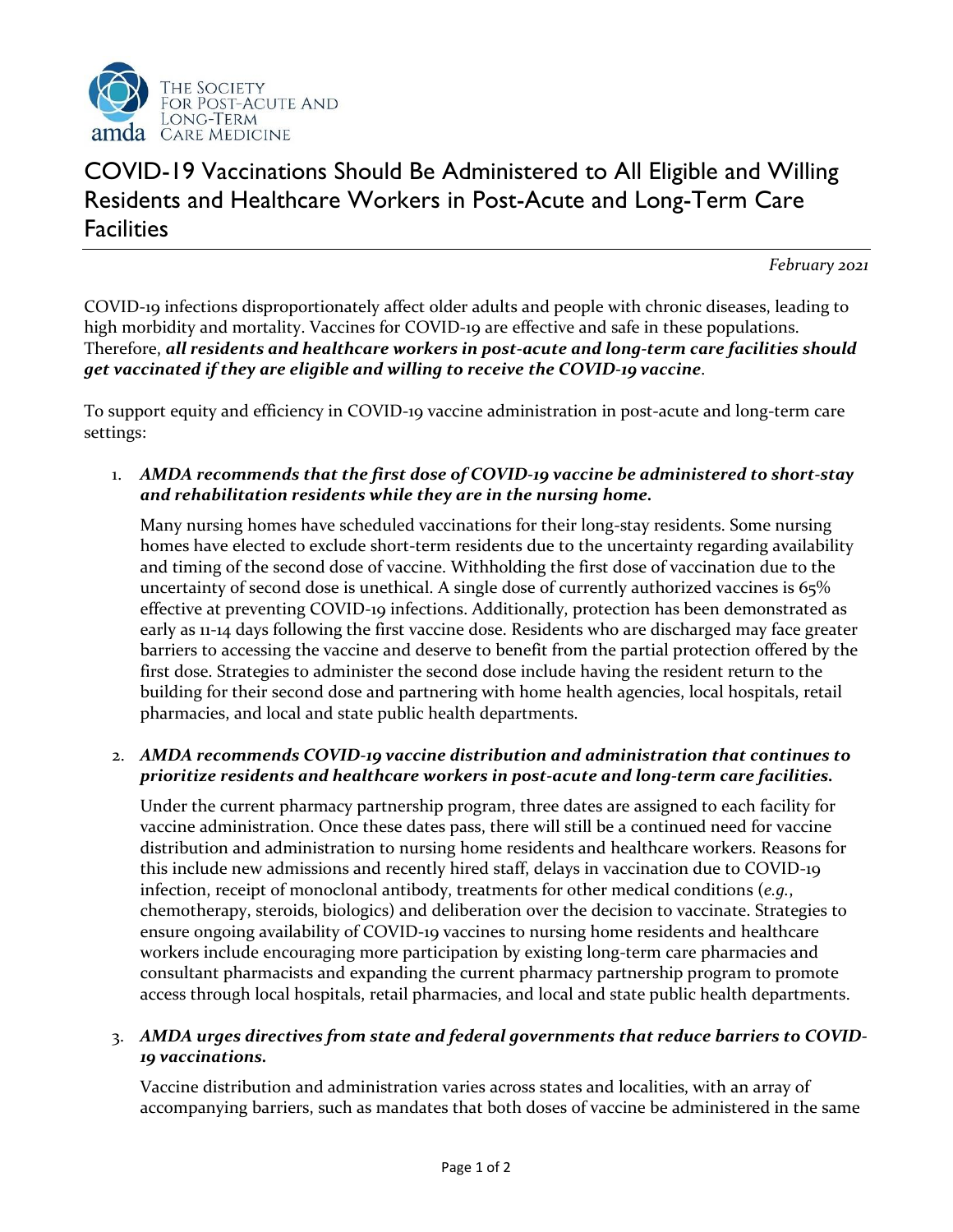

## COVID-19 Vaccinations Should Be Administered to All Eligible and Willing Residents and Healthcare Workers in Post-Acute and Long-Term Care **Facilities**

*February 2021*

COVID-19 infections disproportionately affect older adults and people with chronic diseases, leading to high morbidity and mortality. Vaccines for COVID-19 are effective and safe in these populations. Therefore, *all residents and healthcare workers in post-acute and long-term care facilities should get vaccinated if they are eligible and willing to receive the COVID-19 vaccine*.

To support equity and efficiency in COVID-19 vaccine administration in post-acute and long-term care settings:

1. *AMDA recommends that the first dose of COVID-19 vaccine be administered to short-stay and rehabilitation residents while they are in the nursing home.*

Many nursing homes have scheduled vaccinations for their long-stay residents. Some nursing homes have elected to exclude short-term residents due to the uncertainty regarding availability and timing of the second dose of vaccine. Withholding the first dose of vaccination due to the uncertainty of second dose is unethical. A single dose of currently authorized vaccines is 65% effective at preventing COVID-19 infections. Additionally, protection has been demonstrated as early as 11-14 days following the first vaccine dose. Residents who are discharged may face greater barriers to accessing the vaccine and deserve to benefit from the partial protection offered by the first dose. Strategies to administer the second dose include having the resident return to the building for their second dose and partnering with home health agencies, local hospitals, retail pharmacies, and local and state public health departments.

## 2. *AMDA recommends COVID-19 vaccine distribution and administration that continues to prioritize residents and healthcare workers in post-acute and long-term care facilities.*

Under the current pharmacy partnership program, three dates are assigned to each facility for vaccine administration. Once these dates pass, there will still be a continued need for vaccine distribution and administration to nursing home residents and healthcare workers. Reasons for this include new admissions and recently hired staff, delays in vaccination due to COVID-19 infection, receipt of monoclonal antibody, treatments for other medical conditions (*e.g.*, chemotherapy, steroids, biologics) and deliberation over the decision to vaccinate. Strategies to ensure ongoing availability of COVID-19 vaccines to nursing home residents and healthcare workers include encouraging more participation by existing long-term care pharmacies and consultant pharmacists and expanding the current pharmacy partnership program to promote access through local hospitals, retail pharmacies, and local and state public health departments.

## 3. *AMDA urges directives from state and federal governments that reduce barriers to COVID-19 vaccinations.*

Vaccine distribution and administration varies across states and localities, with an array of accompanying barriers, such as mandates that both doses of vaccine be administered in the same